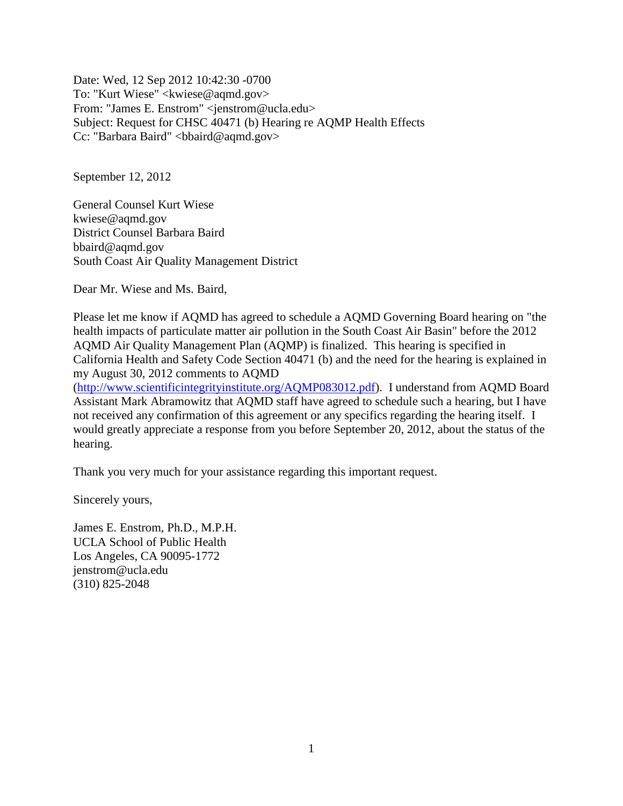Date: Wed, 12 Sep 2012 10:42:30 -0700 To: "Kurt Wiese" <kwiese@aqmd.gov> From: "James E. Enstrom" <jenstrom@ucla.edu> Subject: Request for CHSC 40471 (b) Hearing re AQMP Health Effects Cc: "Barbara Baird" <br/>bbaird@aqmd.gov>

September 12, 2012

General Counsel Kurt Wiese kwiese@aqmd.gov District Counsel Barbara Baird bbaird@aqmd.gov South Coast Air Quality Management District

Dear Mr. Wiese and Ms. Baird,

Please let me know if AQMD has agreed to schedule a AQMD Governing Board hearing on "the health impacts of particulate matter air pollution in the South Coast Air Basin" before the 2012 AQMD Air Quality Management Plan (AQMP) is finalized. This hearing is specified in California Health and Safety Code Section 40471 (b) and the need for the hearing is explained in my August 30, 2012 comments to AQMD

[\(http://www.scientificintegrityinstitute.org/AQMP083012.pdf\)](http://www.scientificintegrityinstitute.org/AQMP083012.pdf). I understand from AQMD Board Assistant Mark Abramowitz that AQMD staff have agreed to schedule such a hearing, but I have not received any confirmation of this agreement or any specifics regarding the hearing itself. I would greatly appreciate a response from you before September 20, 2012, about the status of the hearing.

Thank you very much for your assistance regarding this important request.

Sincerely yours,

James E. Enstrom, Ph.D., M.P.H. UCLA School of Public Health Los Angeles, CA 90095-1772 jenstrom@ucla.edu (310) 825-2048